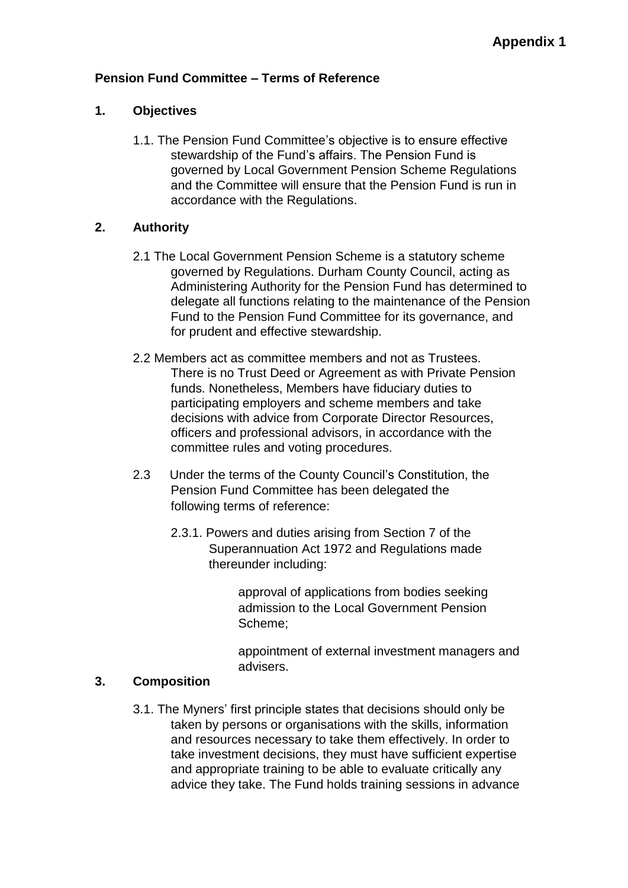## **Pension Fund Committee – Terms of Reference**

## **1. Objectives**

1.1. The Pension Fund Committee's objective is to ensure effective stewardship of the Fund's affairs. The Pension Fund is governed by Local Government Pension Scheme Regulations and the Committee will ensure that the Pension Fund is run in accordance with the Regulations.

## **2. Authority**

- 2.1 The Local Government Pension Scheme is a statutory scheme governed by Regulations. Durham County Council, acting as Administering Authority for the Pension Fund has determined to delegate all functions relating to the maintenance of the Pension Fund to the Pension Fund Committee for its governance, and for prudent and effective stewardship.
- 2.2 Members act as committee members and not as Trustees. There is no Trust Deed or Agreement as with Private Pension funds. Nonetheless, Members have fiduciary duties to participating employers and scheme members and take decisions with advice from Corporate Director Resources, officers and professional advisors, in accordance with the committee rules and voting procedures.
- 2.3 Under the terms of the County Council's Constitution, the Pension Fund Committee has been delegated the following terms of reference:
	- 2.3.1. Powers and duties arising from Section 7 of the Superannuation Act 1972 and Regulations made thereunder including:

approval of applications from bodies seeking admission to the Local Government Pension Scheme;

appointment of external investment managers and advisers.

#### **3. Composition**

3.1. The Myners' first principle states that decisions should only be taken by persons or organisations with the skills, information and resources necessary to take them effectively. In order to take investment decisions, they must have sufficient expertise and appropriate training to be able to evaluate critically any advice they take. The Fund holds training sessions in advance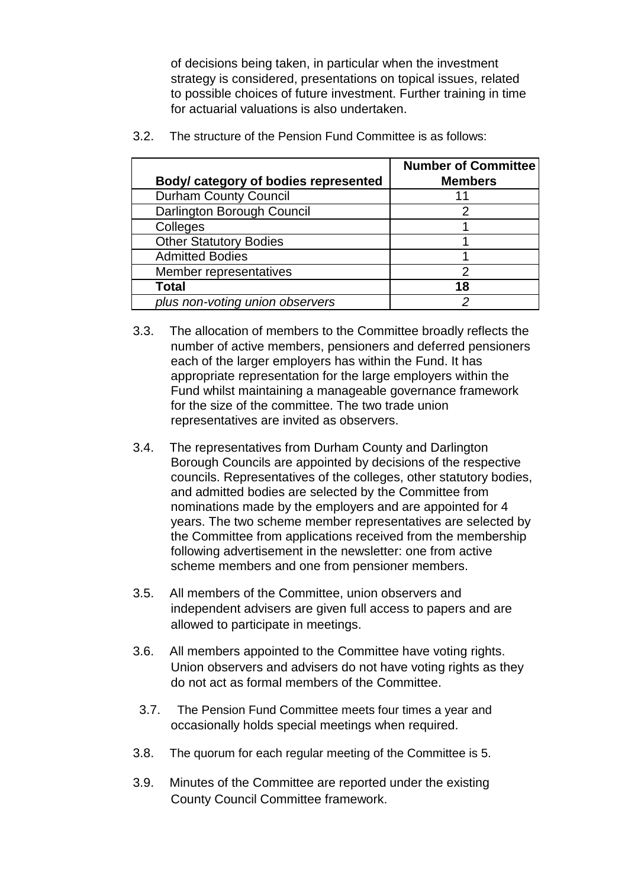of decisions being taken, in particular when the investment strategy is considered, presentations on topical issues, related to possible choices of future investment. Further training in time for actuarial valuations is also undertaken.

| Body/ category of bodies represented | <b>Number of Committee</b><br><b>Members</b> |
|--------------------------------------|----------------------------------------------|
| <b>Durham County Council</b>         |                                              |
| Darlington Borough Council           |                                              |
| Colleges                             |                                              |
| <b>Other Statutory Bodies</b>        |                                              |
| <b>Admitted Bodies</b>               |                                              |
| Member representatives               | ◠                                            |
| Total                                | 18                                           |
| plus non-voting union observers      |                                              |

3.2. The structure of the Pension Fund Committee is as follows:

- 3.3. The allocation of members to the Committee broadly reflects the number of active members, pensioners and deferred pensioners each of the larger employers has within the Fund. It has appropriate representation for the large employers within the Fund whilst maintaining a manageable governance framework for the size of the committee. The two trade union representatives are invited as observers.
- 3.4. The representatives from Durham County and Darlington Borough Councils are appointed by decisions of the respective councils. Representatives of the colleges, other statutory bodies, and admitted bodies are selected by the Committee from nominations made by the employers and are appointed for 4 years. The two scheme member representatives are selected by the Committee from applications received from the membership following advertisement in the newsletter: one from active scheme members and one from pensioner members.
- 3.5. All members of the Committee, union observers and independent advisers are given full access to papers and are allowed to participate in meetings.
- 3.6. All members appointed to the Committee have voting rights. Union observers and advisers do not have voting rights as they do not act as formal members of the Committee.
	- 3.7. The Pension Fund Committee meets four times a year and occasionally holds special meetings when required.
- 3.8. The quorum for each regular meeting of the Committee is 5.
- 3.9. Minutes of the Committee are reported under the existing County Council Committee framework.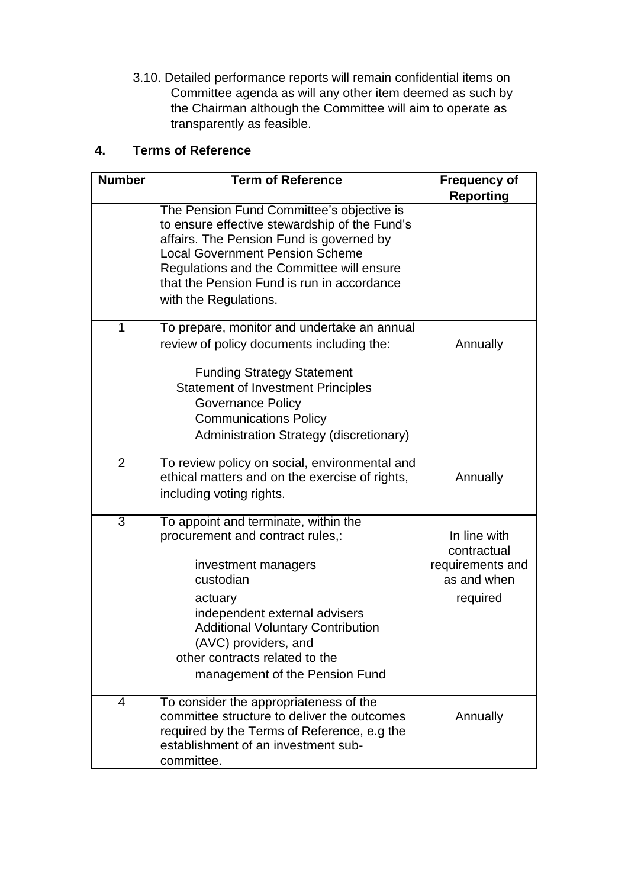3.10. Detailed performance reports will remain confidential items on Committee agenda as will any other item deemed as such by the Chairman although the Committee will aim to operate as transparently as feasible.

# **4. Terms of Reference**

| <b>Number</b>  | <b>Term of Reference</b>                                                                                                                                                                                                                                                                             | <b>Frequency of</b><br><b>Reporting</b>                                    |
|----------------|------------------------------------------------------------------------------------------------------------------------------------------------------------------------------------------------------------------------------------------------------------------------------------------------------|----------------------------------------------------------------------------|
|                | The Pension Fund Committee's objective is<br>to ensure effective stewardship of the Fund's<br>affairs. The Pension Fund is governed by<br><b>Local Government Pension Scheme</b><br>Regulations and the Committee will ensure<br>that the Pension Fund is run in accordance<br>with the Regulations. |                                                                            |
| $\overline{1}$ | To prepare, monitor and undertake an annual<br>review of policy documents including the:<br><b>Funding Strategy Statement</b><br><b>Statement of Investment Principles</b><br>Governance Policy<br><b>Communications Policy</b><br>Administration Strategy (discretionary)                           | Annually                                                                   |
| $\overline{2}$ | To review policy on social, environmental and<br>ethical matters and on the exercise of rights,<br>including voting rights.                                                                                                                                                                          | Annually                                                                   |
| $\overline{3}$ | To appoint and terminate, within the<br>procurement and contract rules,:<br>investment managers<br>custodian<br>actuary<br>independent external advisers<br><b>Additional Voluntary Contribution</b><br>(AVC) providers, and<br>other contracts related to the<br>management of the Pension Fund     | In line with<br>contractual<br>requirements and<br>as and when<br>required |
| $\overline{4}$ | To consider the appropriateness of the<br>committee structure to deliver the outcomes<br>required by the Terms of Reference, e.g the<br>establishment of an investment sub-<br>committee.                                                                                                            | Annually                                                                   |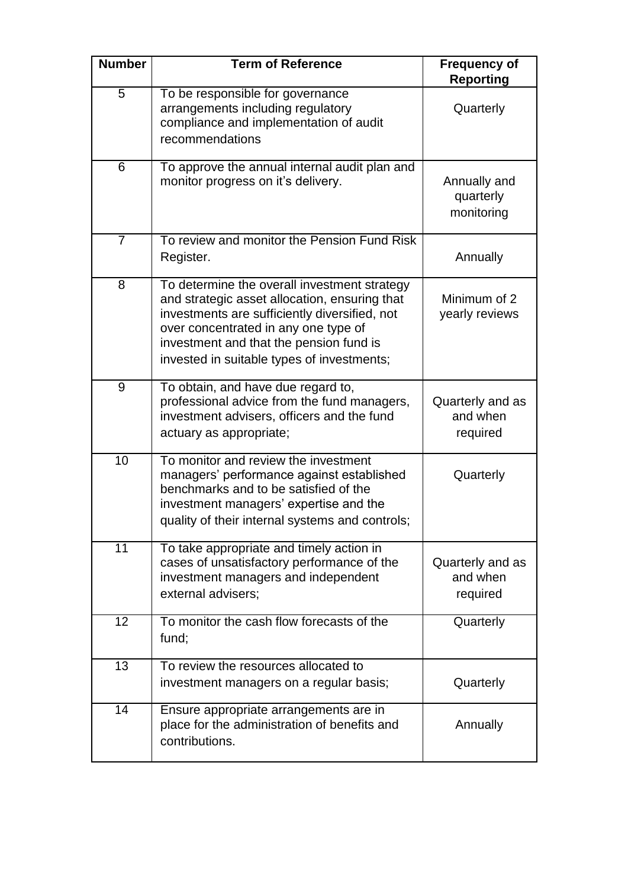| <b>Number</b>   | <b>Term of Reference</b>                                                                                                                                                                                                                                                        | <b>Frequency of</b><br><b>Reporting</b>  |
|-----------------|---------------------------------------------------------------------------------------------------------------------------------------------------------------------------------------------------------------------------------------------------------------------------------|------------------------------------------|
| 5               | To be responsible for governance<br>arrangements including regulatory<br>compliance and implementation of audit<br>recommendations                                                                                                                                              | Quarterly                                |
| 6               | To approve the annual internal audit plan and<br>monitor progress on it's delivery.                                                                                                                                                                                             | Annually and<br>quarterly<br>monitoring  |
| $\overline{7}$  | To review and monitor the Pension Fund Risk<br>Register.                                                                                                                                                                                                                        | Annually                                 |
| 8               | To determine the overall investment strategy<br>and strategic asset allocation, ensuring that<br>investments are sufficiently diversified, not<br>over concentrated in any one type of<br>investment and that the pension fund is<br>invested in suitable types of investments; | Minimum of 2<br>yearly reviews           |
| $\overline{9}$  | To obtain, and have due regard to,<br>professional advice from the fund managers,<br>investment advisers, officers and the fund<br>actuary as appropriate;                                                                                                                      | Quarterly and as<br>and when<br>required |
| $\overline{10}$ | To monitor and review the investment<br>managers' performance against established<br>benchmarks and to be satisfied of the<br>investment managers' expertise and the<br>quality of their internal systems and controls;                                                         | Quarterly                                |
| $\overline{11}$ | To take appropriate and timely action in<br>cases of unsatisfactory performance of the<br>investment managers and independent<br>external advisers;                                                                                                                             | Quarterly and as<br>and when<br>required |
| $\overline{12}$ | To monitor the cash flow forecasts of the<br>fund;                                                                                                                                                                                                                              | Quarterly                                |
| $\overline{13}$ | To review the resources allocated to<br>investment managers on a regular basis;                                                                                                                                                                                                 | Quarterly                                |
| 14              | Ensure appropriate arrangements are in<br>place for the administration of benefits and<br>contributions.                                                                                                                                                                        | Annually                                 |